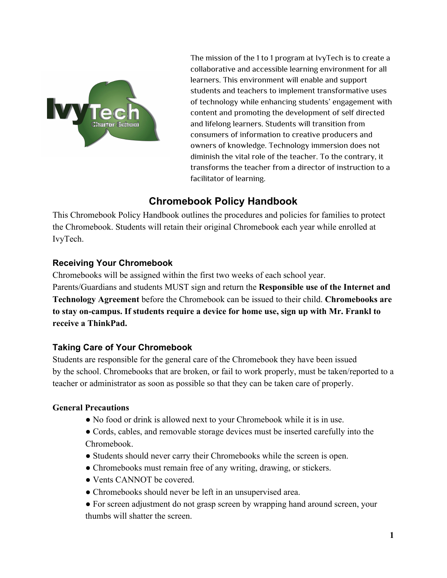

The mission of the 1 to 1 program at IvyTech is to create a collaborative and accessible learning environment for all learners. This environment will enable and support students and teachers to implement transformative uses of technology while enhancing students' engagement with content and promoting the development of self directed and lifelong learners. Students will transition from consumers of information to creative producers and owners of knowledge. Technology immersion does not diminish the vital role of the teacher. To the contrary, it transforms the teacher from a director of instruction to a facilitator of learning.

## **Chromebook Policy Handbook**

This Chromebook Policy Handbook outlines the procedures and policies for families to protect the Chromebook. Students will retain their original Chromebook each year while enrolled at IvyTech.

## **Receiving Your Chromebook**

Chromebooks will be assigned within the first two weeks of each school year. Parents/Guardians and students MUST sign and return the **Responsible use of the Internet and Technology Agreement** before the Chromebook can be issued to their child. **Chromebooks are to stay oncampus. If students require a device for home use, sign up with Mr. Frankl to receive a ThinkPad.**

## **Taking Care of Your Chromebook**

Students are responsible for the general care of the Chromebook they have been issued by the school. Chromebooks that are broken, or fail to work properly, must be taken/reported to a teacher or administrator as soon as possible so that they can be taken care of properly.

## **General Precautions**

- No food or drink is allowed next to your Chromebook while it is in use.
- Cords, cables, and removable storage devices must be inserted carefully into the Chromebook.
- Students should never carry their Chromebooks while the screen is open.
- Chromebooks must remain free of any writing, drawing, or stickers.
- Vents CANNOT be covered.
- Chromebooks should never be left in an unsupervised area.
- For screen adjustment do not grasp screen by wrapping hand around screen, your thumbs will shatter the screen.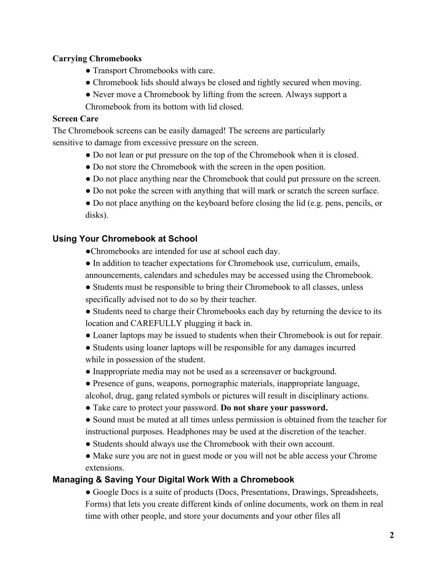### **Carrying Chromebooks**

- Transport Chromebooks with care.
- Chromebook lids should always be closed and tightly secured when moving.
- Never move a Chromebook by lifting from the screen. Always support a

Chromebook from its bottom with lid closed.

## **Screen Care**

The Chromebook screens can be easily damaged! The screens are particularly sensitive to damage from excessive pressure on the screen.

- Do not lean or put pressure on the top of the Chromebook when it is closed.
- Do not store the Chromebook with the screen in the open position.
- Do not place anything near the Chromebook that could put pressure on the screen.
- Do not poke the screen with anything that will mark or scratch the screen surface.
- Do not place anything on the keyboard before closing the lid (e.g. pens, pencils, or disks).

## **Using Your Chromebook at School**

- ●Chromebooks are intended for use at school each day.
- In addition to teacher expectations for Chromebook use, curriculum, emails, announcements, calendars and schedules may be accessed using the Chromebook.
- Students must be responsible to bring their Chromebook to all classes, unless specifically advised not to do so by their teacher.
- Students need to charge their Chromebooks each day by returning the device to its location and CAREFULLY plugging it back in.
- Loaner laptops may be issued to students when their Chromebook is out for repair.
- Students using loaner laptops will be responsible for any damages incurred while in possession of the student.
- Inappropriate media may not be used as a screensaver or background.
- Presence of guns, weapons, pornographic materials, inappropriate language,
- alcohol, drug, gang related symbols or pictures will result in disciplinary actions.
- Take care to protect your password. **Do not share your password.**
- Sound must be muted at all times unless permission is obtained from the teacher for instructional purposes. Headphones may be used at the discretion of the teacher.
- Students should always use the Chromebook with their own account.
- Make sure you are not in guest mode or you will not be able access your Chrome extensions.

## **Managing & Saving Your Digital Work With a Chromebook**

● Google Docs is a suite of products (Docs, Presentations, Drawings, Spreadsheets, Forms) that lets you create different kinds of online documents, work on them in real time with other people, and store your documents and your other files all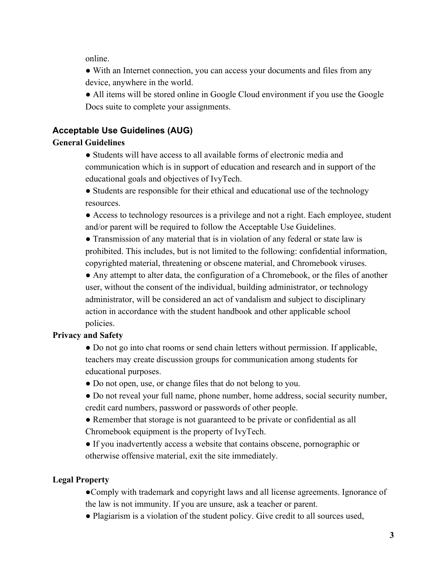online.

• With an Internet connection, you can access your documents and files from any device, anywhere in the world.

● All items will be stored online in Google Cloud environment if you use the Google Docs suite to complete your assignments.

## **Acceptable Use Guidelines (AUG)**

## **General Guidelines**

● Students will have access to all available forms of electronic media and communication which is in support of education and research and in support of the educational goals and objectives of IvyTech.

● Students are responsible for their ethical and educational use of the technology resources.

● Access to technology resources is a privilege and not a right. Each employee, student and/or parent will be required to follow the Acceptable Use Guidelines.

• Transmission of any material that is in violation of any federal or state law is prohibited. This includes, but is not limited to the following: confidential information, copyrighted material, threatening or obscene material, and Chromebook viruses.

● Any attempt to alter data, the configuration of a Chromebook, or the files of another user, without the consent of the individual, building administrator, or technology administrator, will be considered an act of vandalism and subject to disciplinary action in accordance with the student handbook and other applicable school policies.

## **Privacy and Safety**

• Do not go into chat rooms or send chain letters without permission. If applicable, teachers may create discussion groups for communication among students for educational purposes.

- Do not open, use, or change files that do not belong to you.
- Do not reveal your full name, phone number, home address, social security number, credit card numbers, password or passwords of other people.
- Remember that storage is not guaranteed to be private or confidential as all Chromebook equipment is the property of IvyTech.
- If you inadvertently access a website that contains obscene, pornographic or otherwise offensive material, exit the site immediately.

## **Legal Property**

●Comply with trademark and copyright laws and all license agreements. Ignorance of the law is not immunity. If you are unsure, ask a teacher or parent.

● Plagiarism is a violation of the student policy. Give credit to all sources used,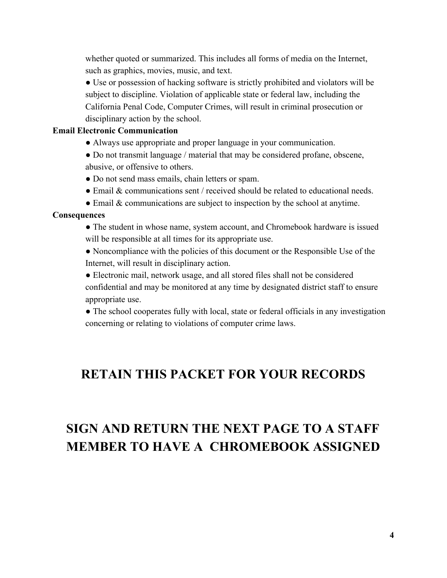whether quoted or summarized. This includes all forms of media on the Internet, such as graphics, movies, music, and text.

● Use or possession of hacking software is strictly prohibited and violators will be subject to discipline. Violation of applicable state or federal law, including the California Penal Code, Computer Crimes, will result in criminal prosecution or disciplinary action by the school.

#### **Email Electronic Communication**

- Always use appropriate and proper language in your communication.
- Do not transmit language / material that may be considered profane, obscene, abusive, or offensive to others.
- Do not send mass emails, chain letters or spam.
- Email & communications sent / received should be related to educational needs.
- Email & communications are subject to inspection by the school at anytime.

#### **Consequences**

- The student in whose name, system account, and Chromebook hardware is issued will be responsible at all times for its appropriate use.
- Noncompliance with the policies of this document or the Responsible Use of the Internet, will result in disciplinary action.
- Electronic mail, network usage, and all stored files shall not be considered confidential and may be monitored at any time by designated district staff to ensure appropriate use.

• The school cooperates fully with local, state or federal officials in any investigation concerning or relating to violations of computer crime laws.

## **RETAIN THIS PACKET FOR YOUR RECORDS**

# **SIGN AND RETURN THE NEXT PAGE TO A STAFF MEMBER TO HAVE A CHROMEBOOK ASSIGNED**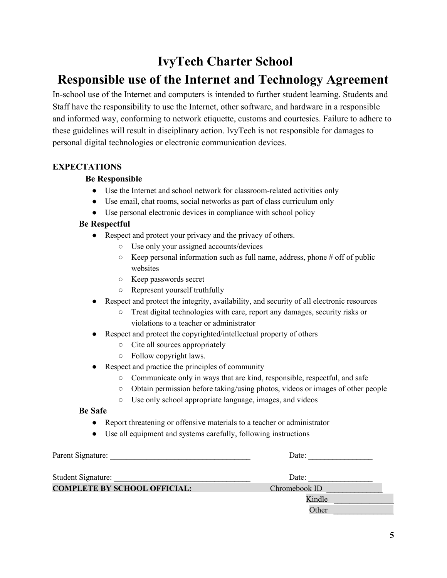## **IvyTech Charter School**

## **Responsible use of the Internet and Technology Agreement**

In-school use of the Internet and computers is intended to further student learning. Students and Staff have the responsibility to use the Internet, other software, and hardware in a responsible and informed way, conforming to network etiquette, customs and courtesies. Failure to adhere to these guidelines will result in disciplinary action. IvyTech is not responsible for damages to personal digital technologies or electronic communication devices.

### **EXPECTATIONS**

### **Be Responsible**

- Use the Internet and school network for classroom-related activities only
- Use email, chat rooms, social networks as part of class curriculum only
- Use personal electronic devices in compliance with school policy

## **Be Respectful**

- Respect and protect your privacy and the privacy of others.
	- Use only your assigned accounts/devices
	- $\circ$  Keep personal information such as full name, address, phone # off of public websites
	- Keep passwords secret
	- Represent yourself truthfully
- Respect and protect the integrity, availability, and security of all electronic resources
	- Treat digital technologies with care, report any damages, security risks or violations to a teacher or administrator
- Respect and protect the copyrighted/intellectual property of others
	- Cite all sources appropriately
	- Follow copyright laws.
- Respect and practice the principles of community
	- Communicate only in ways that are kind, responsible, respectful, and safe
	- Obtain permission before taking/using photos, videos or images of other people
	- Use only school appropriate language, images, and videos

### **Be Safe**

- Report threatening or offensive materials to a teacher or administrator
- Use all equipment and systems carefully, following instructions

| Parent Signature:                   | Date:         |
|-------------------------------------|---------------|
| <b>Student Signature:</b>           | Date:         |
| <b>COMPLETE BY SCHOOL OFFICIAL:</b> | Chromebook ID |
|                                     | Kindle        |
|                                     | Other         |